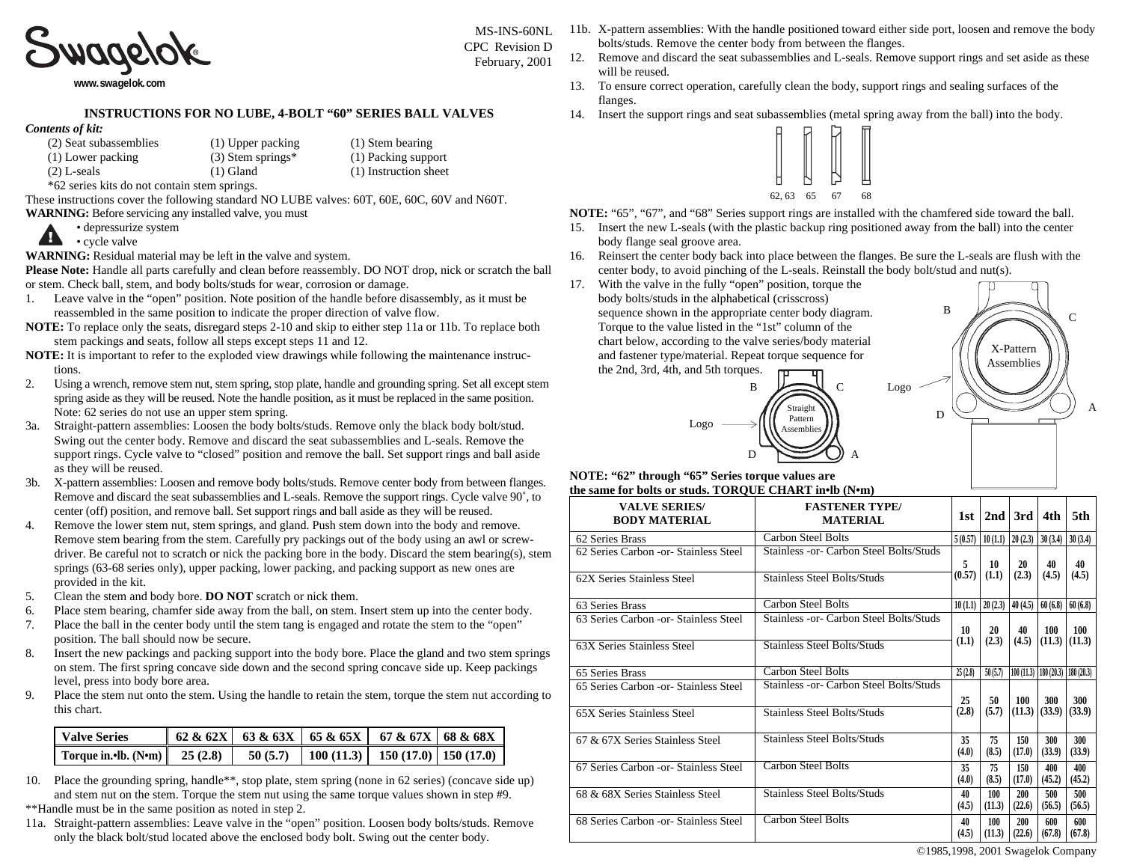

**[www.swagelok.com](http://www.swagelok.com)**

## **INSTRUCTIONS FOR NO LUBE, 4-BOLT "60" SERIES BALL VALVES**

## *Contents of kit:*

| (2) Seat subassemblies | $(1)$ Upper pa |
|------------------------|----------------|
| (1) Lower packing      | $(3)$ Stem spr |
| (2) L-seals            | $(1)$ Gland    |

acking (1) Stem bearing  $rings*$  (1) Packing support  $(1)$  Instruction sheet February, 2001

\*62 series kits do not contain stem springs.

These instructions cover the following standard NO LUBE valves: 60T, 60E, 60C, 60V and N60T. **WARNING:** Before servicing any installed valve, you must

• depressurize system

Æ • cycle valve

**WARNING:** Residual material may be left in the valve and system.

**Please Note:** Handle all parts carefully and clean before reassembly. DO NOT drop, nick or scratch the ball or stem. Check ball, stem, and body bolts/studs for wear, corrosion or damage.

- 1. Leave valve in the "open" position. Note position of the handle before disassembly, as it must be reassembled in the same position to indicate the proper direction of valve flow.
- **NOTE:** To replace only the seats, disregard steps 2-10 and skip to either step 11a or 11b. To replace both stem packings and seats, follow all steps except steps 11 and 12.
- **NOTE:** It is important to refer to the exploded view drawings while following the maintenance instructions.
- 2. Using a wrench, remove stem nut, stem spring, stop plate, handle and grounding spring. Set all except stem spring aside as they will be reused. Note the handle position, as it must be replaced in the same position. Note: 62 series do not use an upper stem spring.
- 3a. Straight-pattern assemblies: Loosen the body bolts/studs. Remove only the black body bolt/stud. Swing out the center body. Remove and discard the seat subassemblies and L-seals. Remove the support rings. Cycle valve to "closed" position and remove the ball. Set support rings and ball aside as they will be reused.
- 3b. X-pattern assemblies: Loosen and remove body bolts/studs. Remove center body from between flanges. Remove and discard the seat subassemblies and L-seals. Remove the support rings. Cycle valve 90˚, to center (off) position, and remove ball. Set support rings and ball aside as they will be reused.
- 4. Remove the lower stem nut, stem springs, and gland. Push stem down into the body and remove. Remove stem bearing from the stem. Carefully pry packings out of the body using an awl or screwdriver. Be careful not to scratch or nick the packing bore in the body. Discard the stem bearing(s), stem springs (63-68 series only), upper packing, lower packing, and packing support as new ones are provided in the kit.
- 5. Clean the stem and body bore. **DO NOT** scratch or nick them.
- 6. Place stem bearing, chamfer side away from the ball, on stem. Insert stem up into the center body.
- 7. Place the ball in the center body until the stem tang is engaged and rotate the stem to the "open" position. The ball should now be secure.
- 8. Insert the new packings and packing support into the body bore. Place the gland and two stem springs on stem. The first spring concave side down and the second spring concave side up. Keep packings level, press into body bore area.
- 9. Place the stem nut onto the stem. Using the handle to retain the stem, torque the stem nut according to this chart.

| <b>Valve Series</b>                                                                | $\begin{array}{ c c c c c c c c } \hline 62 & 62X & 63 & 63 & 65 & 65 & 65 & 67 & 67 & 68 & 68 & 68 \end{array}$ |  |  |
|------------------------------------------------------------------------------------|------------------------------------------------------------------------------------------------------------------|--|--|
| Torque in. Ib. (N em)   25 (2.8)   50 (5.7)   100 (11.3)   150 (17.0)   150 (17.0) |                                                                                                                  |  |  |

- 10. Place the grounding spring, handle\*\*, stop plate, stem spring (none in 62 series) (concave side up) and stem nut on the stem. Torque the stem nut using the same torque values shown in step #9. \*\*Handle must be in the same position as noted in step 2.
- 11a. Straight-pattern assemblies: Leave valve in the "open" position. Loosen body bolts/studs. Remove only the black bolt/stud located above the enclosed body bolt. Swing out the center body.
- 11b. X-pattern assemblies: With the handle positioned toward either side port, loosen and remove the body bolts/studs. Remove the center body from between the flanges. MS-INS-60NL CPC Revision D
	- 12. Remove and discard the seat subassemblies and L-seals. Remove support rings and set aside as these will be reused.
	- 13. To ensure correct operation, carefully clean the body, support rings and sealing surfaces of the flanges.
	- 14. Insert the support rings and seat subassemblies (metal spring away from the ball) into the body.



**NOTE:** "65", "67", and "68" Series support rings are installed with the chamfered side toward the ball. 15. Insert the new L-seals (with the plastic backup ring positioned away from the ball) into the center

- body flange seal groove area.
- 16. Reinsert the center body back into place between the flanges. Be sure the L-seals are flush with the center body, to avoid pinching of the L-seals. Reinstall the body bolt/stud and nut(s).

Logo

D

17. With the valve in the fully "open" position, torque the body bolts/studs in the alphabetical (crisscross) sequence shown in the appropriate center body diagram. Torque to the value listed in the "1st" column of the chart below, according to the valve series/body material and fastener type/material. Repeat torque sequence for the 2nd, 3rd, 4th, and 5th torques.



## **NOTE: "62" through "65" Series torque values are the same for bolts or studs. TORQUE CHART in•lb (N•m)**

| <b>VALVE SERIES/</b><br><b>BODY MATERIAL</b> | <b>FASTENER TYPE/</b><br><b>MATERIAL</b> | 1st.        | 2nd                   | 3rd                 | 4th                     | 5th           |
|----------------------------------------------|------------------------------------------|-------------|-----------------------|---------------------|-------------------------|---------------|
| 62 Series Brass                              | <b>Carbon Steel Bolts</b>                | 5(0.57)     |                       | $10(1,1)$ $20(2,3)$ | 30(3.4)                 | 30(3.4)       |
| 62 Series Carbon -or- Stainless Steel        | Stainless - or- Carbon Steel Bolts/Studs | 5.          | 10                    | 20                  | 40                      | 40            |
| 62X Series Stainless Steel                   | Stainless Steel Bolts/Studs              | (0.57)      | (1.1)                 | (2.3)               | (4.5)                   | (4.5)         |
| 63 Series Brass                              | <b>Carbon Steel Bolts</b>                |             | $10(1,1)$   $20(2,3)$ | 40(4.5)             | 60(6.8)                 | 60(6.8)       |
| 63 Series Carbon -or- Stainless Steel        | Stainless -or- Carbon Steel Bolts/Studs  | 10          | 20                    | 40                  | 100                     | 100           |
| 63X Series Stainless Steel                   | Stainless Steel Bolts/Studs              | (1.1)       | (2.3)                 | (4.5)               | (11.3)                  | (11.3)        |
| 65 Series Brass                              | Carbon Steel Bolts                       | 25(2.8)     | 50(5.7)               |                     | $100(11.3)$ $180(20.3)$ | 180 (20.3)    |
| 65 Series Carbon -or- Stainless Steel        | Stainless - or- Carbon Steel Bolts/Studs | 25          | 50                    | 100                 | 300                     | 300           |
| 65X Series Stainless Steel                   | Stainless Steel Bolts/Studs              | (2.8)       | (5.7)                 | (11.3)              | (33.9)                  | (33.9)        |
| 67 & 67X Series Stainless Steel              | Stainless Steel Bolts/Studs              | 35<br>(4.0) | 75<br>(8.5)           | 150<br>(17.0)       | 300<br>(33.9)           | 300<br>(33.9) |
| 67 Series Carbon -or- Stainless Steel        | <b>Carbon Steel Bolts</b>                | 35<br>(4.0) | 75<br>(8.5)           | 150<br>(17.0)       | 400<br>(45.2)           | 400<br>(45.2) |
| 68 & 68X Series Stainless Steel              | Stainless Steel Bolts/Studs              | 40<br>(4.5) | 100<br>(11.3)         | 200<br>(22.6)       | 500<br>(56.5)           | 500<br>(56.5) |
| 68 Series Carbon -or- Stainless Steel        | Carbon Steel Bolts                       | 40<br>(4.5) | 100<br>(11.3)         | 200<br>(22.6)       | 600<br>(67.8)           | 600<br>(67.8) |

©1985,1998, 2001 Swagelok Company

A

 $\overline{B}$   $\overline{C}$ 

X-Pattern Assemblies